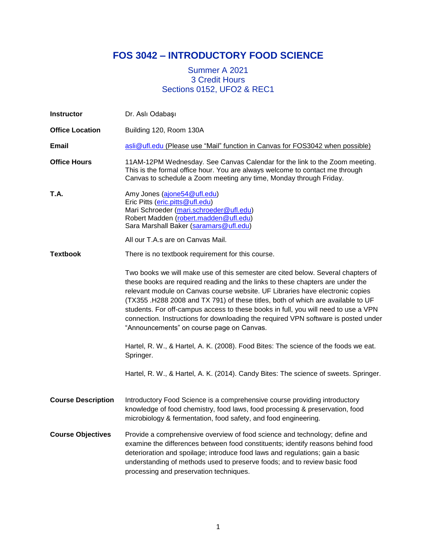# **FOS 3042 – INTRODUCTORY FOOD SCIENCE**

# Summer A 2021 3 Credit Hours Sections 0152, UFO2 & REC1

| <b>Instructor</b>         | Dr. Aslı Odabaşı                                                                                                                                                                                                                                                                                                                                                                                                                                                                                                                                                 |
|---------------------------|------------------------------------------------------------------------------------------------------------------------------------------------------------------------------------------------------------------------------------------------------------------------------------------------------------------------------------------------------------------------------------------------------------------------------------------------------------------------------------------------------------------------------------------------------------------|
| <b>Office Location</b>    | Building 120, Room 130A                                                                                                                                                                                                                                                                                                                                                                                                                                                                                                                                          |
| <b>Email</b>              | asli@ufl.edu (Please use "Mail" function in Canvas for FOS3042 when possible)                                                                                                                                                                                                                                                                                                                                                                                                                                                                                    |
| <b>Office Hours</b>       | 11AM-12PM Wednesday. See Canvas Calendar for the link to the Zoom meeting.<br>This is the formal office hour. You are always welcome to contact me through<br>Canvas to schedule a Zoom meeting any time, Monday through Friday.                                                                                                                                                                                                                                                                                                                                 |
| T.A.                      | Amy Jones (ajone54@ufl.edu)<br>Eric Pitts (eric.pitts@ufl.edu)<br>Mari Schroeder (mari.schroeder@ufl.edu)<br>Robert Madden (robert.madden@ufl.edu)<br>Sara Marshall Baker (saramars@ufl.edu)<br>All our T.A.s are on Canvas Mail.                                                                                                                                                                                                                                                                                                                                |
| <b>Textbook</b>           | There is no textbook requirement for this course.                                                                                                                                                                                                                                                                                                                                                                                                                                                                                                                |
|                           | Two books we will make use of this semester are cited below. Several chapters of<br>these books are required reading and the links to these chapters are under the<br>relevant module on Canvas course website. UF Libraries have electronic copies<br>(TX355 .H288 2008 and TX 791) of these titles, both of which are available to UF<br>students. For off-campus access to these books in full, you will need to use a VPN<br>connection. Instructions for downloading the required VPN software is posted under<br>"Announcements" on course page on Canvas. |
|                           | Hartel, R. W., & Hartel, A. K. (2008). Food Bites: The science of the foods we eat.<br>Springer.                                                                                                                                                                                                                                                                                                                                                                                                                                                                 |
|                           | Hartel, R. W., & Hartel, A. K. (2014). Candy Bites: The science of sweets. Springer.                                                                                                                                                                                                                                                                                                                                                                                                                                                                             |
| <b>Course Description</b> | Introductory Food Science is a comprehensive course providing introductory<br>knowledge of food chemistry, food laws, food processing & preservation, food<br>microbiology & fermentation, food safety, and food engineering.                                                                                                                                                                                                                                                                                                                                    |
| <b>Course Objectives</b>  | Provide a comprehensive overview of food science and technology; define and<br>examine the differences between food constituents; identify reasons behind food<br>deterioration and spoilage; introduce food laws and regulations; gain a basic<br>understanding of methods used to preserve foods; and to review basic food<br>processing and preservation techniques.                                                                                                                                                                                          |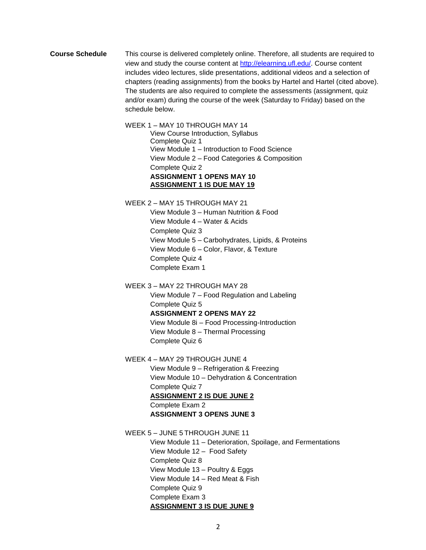**Course Schedule** This course is delivered completely online. Therefore, all students are required to view and study the course content at [http://elearning.ufl.edu/.](http://elearning.ufl.edu/) Course content includes video lectures, slide presentations, additional videos and a selection of chapters (reading assignments) from the books by Hartel and Hartel (cited above). The students are also required to complete the assessments (assignment, quiz and/or exam) during the course of the week (Saturday to Friday) based on the schedule below.

> WEEK 1 – MAY 10 THROUGH MAY 14 View Course Introduction, Syllabus Complete Quiz 1 View Module 1 – Introduction to Food Science View Module 2 – Food Categories & Composition Complete Quiz 2 **ASSIGNMENT 1 OPENS MAY 10 ASSIGNMENT 1 IS DUE MAY 19**

WEEK 2 – MAY 15 THROUGH MAY 21

View Module 3 – Human Nutrition & Food View Module 4 – Water & Acids Complete Quiz 3 View Module 5 – Carbohydrates, Lipids, & Proteins View Module 6 – Color, Flavor, & Texture Complete Quiz 4 Complete Exam 1

WEEK 3 – MAY 22 THROUGH MAY 28 View Module 7 – Food Regulation and Labeling Complete Quiz 5 **ASSIGNMENT 2 OPENS MAY 22** View Module 8i – Food Processing-Introduction View Module 8 – Thermal Processing

Complete Quiz 6

WEEK 4 – MAY 29 THROUGH JUNE 4

View Module 9 – Refrigeration & Freezing View Module 10 – Dehydration & Concentration Complete Quiz 7

**ASSIGNMENT 2 IS DUE JUNE 2**

Complete Exam 2 **ASSIGNMENT 3 OPENS JUNE 3**

WEEK 5 – JUNE 5 THROUGH JUNE 11

View Module 11 – Deterioration, Spoilage, and Fermentations View Module 12 – Food Safety Complete Quiz 8 View Module 13 – Poultry & Eggs View Module 14 – Red Meat & Fish Complete Quiz 9 Complete Exam 3 **ASSIGNMENT 3 IS DUE JUNE 9**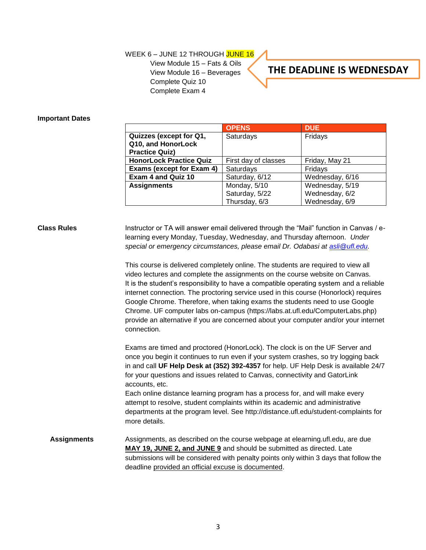## WEEK 6 - JUNE 12 THROUGH JUNE 16

View Module 15 – Fats & Oils View Module 16 – Beverages Complete Quiz 10 Complete Exam 4

# **THE DEADLINE IS WEDNESDAY**

#### **Important Dates**

|                                | <b>OPENS</b>         | <b>DUE</b>      |
|--------------------------------|----------------------|-----------------|
| Quizzes (except for Q1,        | Saturdays            | Fridays         |
| Q10, and HonorLock             |                      |                 |
| <b>Practice Quiz)</b>          |                      |                 |
| <b>HonorLock Practice Quiz</b> | First day of classes | Friday, May 21  |
| Exams (except for Exam 4)      | Saturdays            | Fridays         |
| <b>Exam 4 and Quiz 10</b>      | Saturday, 6/12       | Wednesday, 6/16 |
| <b>Assignments</b>             | Monday, 5/10         | Wednesday, 5/19 |
|                                | Saturday, 5/22       | Wednesday, 6/2  |
|                                | Thursday, 6/3        | Wednesday, 6/9  |

**Class Rules** Instructor or TA will answer email delivered through the "Mail" function in Canvas / elearning every Monday, Tuesday, Wednesday, and Thursday afternoon. *Under special or emergency circumstances, please email Dr. Odabasi at [asli@ufl.edu.](mailto:asli@ufl.edu)*

> This course is delivered completely online. The students are required to view all video lectures and complete the assignments on the course website on Canvas. It is the student's responsibility to have a compatible operating system and a reliable internet connection. The proctoring service used in this course (Honorlock) requires Google Chrome. Therefore, when taking exams the students need to use Google Chrome. UF computer labs on-campus (https://labs.at.ufl.edu/ComputerLabs.php) provide an alternative if you are concerned about your computer and/or your internet connection.

> Exams are timed and proctored (HonorLock). The clock is on the UF Server and once you begin it continues to run even if your system crashes, so try logging back in and call **UF Help Desk at (352) 392-4357** for help. UF Help Desk is available 24/7 for your questions and issues related to Canvas, connectivity and GatorLink accounts, etc.

> Each online distance learning program has a process for, and will make every attempt to resolve, student complaints within its academic and administrative departments at the program level. See http://distance.ufl.edu/student-complaints for more details.

# **Assignments** Assignments, as described on the course webpage at elearning.ufl.edu, are due **MAY 19, JUNE 2, and JUNE 9** and should be submitted as directed. Late submissions will be considered with penalty points only within 3 days that follow the deadline provided an official excuse is documented.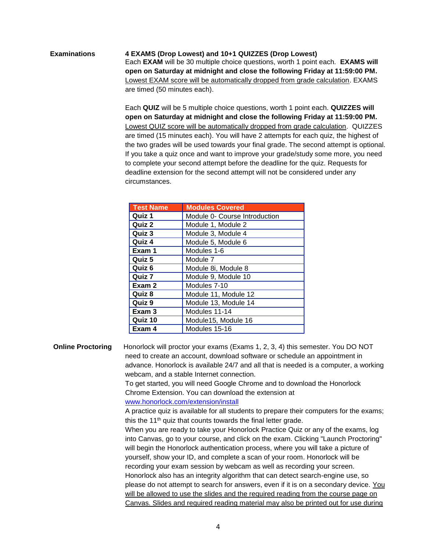# **Examinations 4 EXAMS (Drop Lowest) and 10+1 QUIZZES (Drop Lowest)** Each **EXAM** will be 30 multiple choice questions, worth 1 point each. **EXAMS will open on Saturday at midnight and close the following Friday at 11:59:00 PM.**  Lowest EXAM score will be automatically dropped from grade calculation. EXAMS are timed (50 minutes each).

Each **QUIZ** will be 5 multiple choice questions, worth 1 point each. **QUIZZES will open on Saturday at midnight and close the following Friday at 11:59:00 PM.** Lowest QUIZ score will be automatically dropped from grade calculation. QUIZZES are timed (15 minutes each). You will have 2 attempts for each quiz, the highest of the two grades will be used towards your final grade. The second attempt is optional. If you take a quiz once and want to improve your grade/study some more, you need to complete your second attempt before the deadline for the quiz. Requests for deadline extension for the second attempt will not be considered under any circumstances.

| <b>Test Name</b>  | <b>Modules Covered</b>        |
|-------------------|-------------------------------|
| Quiz 1            | Module 0- Course Introduction |
| Quiz 2            | Module 1, Module 2            |
| Quiz 3            | Module 3, Module 4            |
| Quiz 4            | Module 5, Module 6            |
| Exam 1            | Modules 1-6                   |
| Quiz 5            | Module 7                      |
| Quiz 6            | Module 8i, Module 8           |
| Quiz 7            | Module 9, Module 10           |
| Exam 2            | Modules 7-10                  |
| Quiz 8            | Module 11, Module 12          |
| Quiz 9            | Module 13, Module 14          |
| Exam <sub>3</sub> | Modules 11-14                 |
| Quiz 10           | Module15, Module 16           |
| Exam 4            | Modules 15-16                 |

**Online Proctoring** Honorlock will proctor your exams (Exams 1, 2, 3, 4) this semester. You DO NOT need to create an account, download software or schedule an appointment in advance. Honorlock is available 24/7 and all that is needed is a computer, a working webcam, and a stable Internet connection. To get started, you will need Google Chrome and to download the Honorlock

Chrome Extension. You can download the extension at

[www.honorlock.com/extension/install](http://www.honorlock.com/extension/install)

A practice quiz is available for all students to prepare their computers for the exams; this the 11<sup>th</sup> quiz that counts towards the final letter grade.

When you are ready to take your Honorlock Practice Quiz or any of the exams, log into Canvas, go to your course, and click on the exam. Clicking "Launch Proctoring" will begin the Honorlock authentication process, where you will take a picture of yourself, show your ID, and complete a scan of your room. Honorlock will be recording your exam session by webcam as well as recording your screen. Honorlock also has an integrity algorithm that can detect search-engine use, so please do not attempt to search for answers, even if it is on a secondary device. You will be allowed to use the slides and the required reading from the course page on Canvas. Slides and required reading material may also be printed out for use during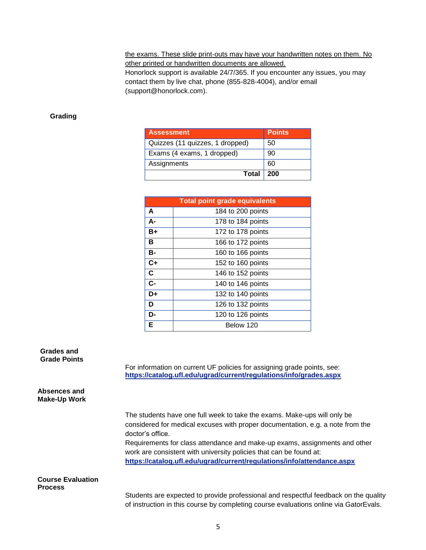the exams. These slide print-outs may have your handwritten notes on them. No other printed or handwritten documents are allowed.

Honorlock support is available 24/7/365. If you encounter any issues, you may contact them by live chat, phone (855-828-4004), and/or email (support@honorlock.com).

### **Grading**

| <b>Assessment</b>               | <b>Points</b> |
|---------------------------------|---------------|
| Quizzes (11 quizzes, 1 dropped) | 50            |
| Exams (4 exams, 1 dropped)      | 90            |
| Assignments                     | 60            |
| Total                           | ∣ 200         |

| <b>Total point grade equivalents</b> |                   |  |
|--------------------------------------|-------------------|--|
| A                                    | 184 to 200 points |  |
| А-                                   | 178 to 184 points |  |
| B+                                   | 172 to 178 points |  |
| в                                    | 166 to 172 points |  |
| <b>B-</b>                            | 160 to 166 points |  |
| $C+$                                 | 152 to 160 points |  |
| $\mathbf c$                          | 146 to 152 points |  |
| $C -$                                | 140 to 146 points |  |
| D+                                   | 132 to 140 points |  |
| D                                    | 126 to 132 points |  |
| D-                                   | 120 to 126 points |  |
| Е                                    | Below 120         |  |

**Grades and Grade Points**

> For information on current UF policies for assigning grade points, see: **<https://catalog.ufl.edu/ugrad/current/regulations/info/grades.aspx>**

### **Absences and Make-Up Work**

The students have one full week to take the exams. Make-ups will only be considered for medical excuses with proper documentation, e.g. a note from the doctor's office.

Requirements for class attendance and make-up exams, assignments and other work are consistent with university policies that can be found at: **<https://catalog.ufl.edu/ugrad/current/regulations/info/attendance.aspx>**

#### **Course Evaluation Process**

Students are expected to provide professional and respectful feedback on the quality of instruction in this course by completing course evaluations online via GatorEvals.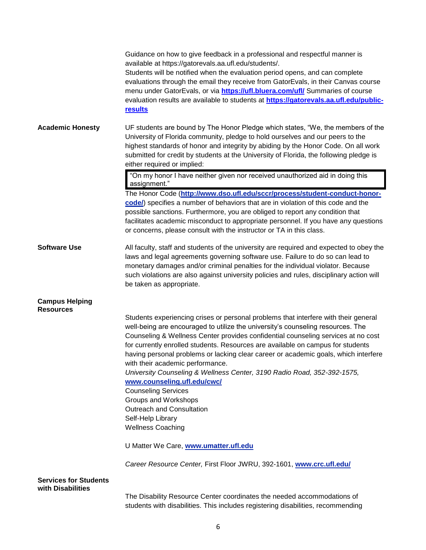|                                                   | Guidance on how to give feedback in a professional and respectful manner is<br>available at https://gatorevals.aa.ufl.edu/students/.<br>Students will be notified when the evaluation period opens, and can complete<br>evaluations through the email they receive from GatorEvals, in their Canvas course<br>menu under GatorEvals, or via <b>https://ufl.bluera.com/ufl/</b> Summaries of course<br>evaluation results are available to students at https://gatorevals.aa.ufl.edu/public-<br>results                                                                                                            |
|---------------------------------------------------|-------------------------------------------------------------------------------------------------------------------------------------------------------------------------------------------------------------------------------------------------------------------------------------------------------------------------------------------------------------------------------------------------------------------------------------------------------------------------------------------------------------------------------------------------------------------------------------------------------------------|
| <b>Academic Honesty</b>                           | UF students are bound by The Honor Pledge which states, "We, the members of the<br>University of Florida community, pledge to hold ourselves and our peers to the<br>highest standards of honor and integrity by abiding by the Honor Code. On all work<br>submitted for credit by students at the University of Florida, the following pledge is<br>either required or implied:                                                                                                                                                                                                                                  |
|                                                   | "On my honor I have neither given nor received unauthorized aid in doing this<br>assignment."                                                                                                                                                                                                                                                                                                                                                                                                                                                                                                                     |
|                                                   | The Honor Code (http://www.dso.ufl.edu/sccr/process/student-conduct-honor-<br>code/) specifies a number of behaviors that are in violation of this code and the<br>possible sanctions. Furthermore, you are obliged to report any condition that<br>facilitates academic misconduct to appropriate personnel. If you have any questions<br>or concerns, please consult with the instructor or TA in this class.                                                                                                                                                                                                   |
| <b>Software Use</b>                               | All faculty, staff and students of the university are required and expected to obey the<br>laws and legal agreements governing software use. Failure to do so can lead to<br>monetary damages and/or criminal penalties for the individual violator. Because<br>such violations are also against university policies and rules, disciplinary action will<br>be taken as appropriate.                                                                                                                                                                                                                              |
| <b>Campus Helping</b>                             |                                                                                                                                                                                                                                                                                                                                                                                                                                                                                                                                                                                                                   |
| <b>Resources</b>                                  | Students experiencing crises or personal problems that interfere with their general<br>well-being are encouraged to utilize the university's counseling resources. The<br>Counseling & Wellness Center provides confidential counseling services at no cost<br>for currently enrolled students. Resources are available on campus for students<br>having personal problems or lacking clear career or academic goals, which interfere<br>with their academic performance.<br>University Counseling & Wellness Center, 3190 Radio Road, 352-392-1575,<br>www.counseling.ufl.edu/cwc/<br><b>Counseling Services</b> |
|                                                   | Groups and Workshops                                                                                                                                                                                                                                                                                                                                                                                                                                                                                                                                                                                              |
|                                                   | Outreach and Consultation<br>Self-Help Library                                                                                                                                                                                                                                                                                                                                                                                                                                                                                                                                                                    |
|                                                   | <b>Wellness Coaching</b>                                                                                                                                                                                                                                                                                                                                                                                                                                                                                                                                                                                          |
|                                                   | U Matter We Care, www.umatter.ufl.edu                                                                                                                                                                                                                                                                                                                                                                                                                                                                                                                                                                             |
|                                                   | Career Resource Center, First Floor JWRU, 392-1601, www.crc.ufl.edu/                                                                                                                                                                                                                                                                                                                                                                                                                                                                                                                                              |
| <b>Services for Students</b><br>with Disabilities |                                                                                                                                                                                                                                                                                                                                                                                                                                                                                                                                                                                                                   |
|                                                   | The Disability Resource Center coordinates the needed accommodations of<br>students with disabilities. This includes registering disabilities, recommending                                                                                                                                                                                                                                                                                                                                                                                                                                                       |